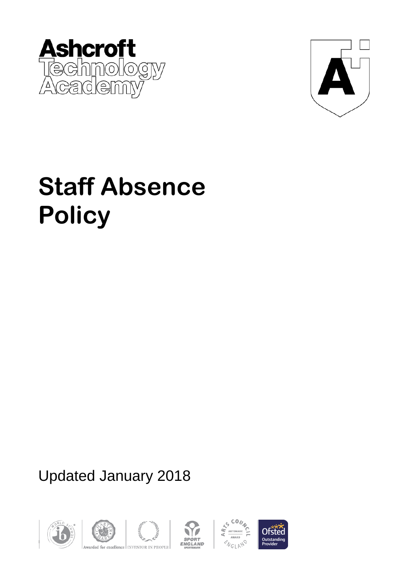



# **Staff Absence Policy**

Updated January 2018









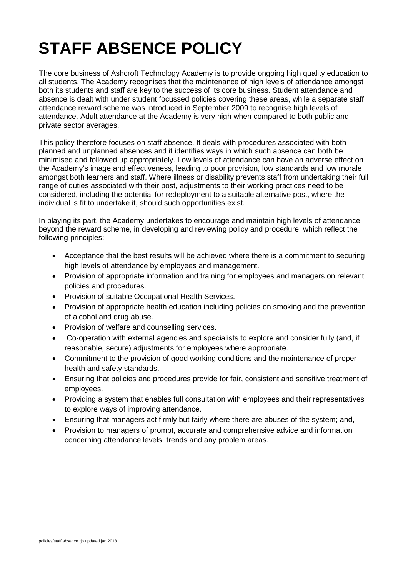## **STAFF ABSENCE POLICY**

The core business of Ashcroft Technology Academy is to provide ongoing high quality education to all students. The Academy recognises that the maintenance of high levels of attendance amongst both its students and staff are key to the success of its core business. Student attendance and absence is dealt with under student focussed policies covering these areas, while a separate staff attendance reward scheme was introduced in September 2009 to recognise high levels of attendance. Adult attendance at the Academy is very high when compared to both public and private sector averages.

This policy therefore focuses on staff absence. It deals with procedures associated with both planned and unplanned absences and it identifies ways in which such absence can both be minimised and followed up appropriately. Low levels of attendance can have an adverse effect on the Academy's image and effectiveness, leading to poor provision, low standards and low morale amongst both learners and staff. Where illness or disability prevents staff from undertaking their full range of duties associated with their post, adjustments to their working practices need to be considered, including the potential for redeployment to a suitable alternative post, where the individual is fit to undertake it, should such opportunities exist.

In playing its part, the Academy undertakes to encourage and maintain high levels of attendance beyond the reward scheme, in developing and reviewing policy and procedure, which reflect the following principles:

- Acceptance that the best results will be achieved where there is a commitment to securing high levels of attendance by employees and management.
- Provision of appropriate information and training for employees and managers on relevant policies and procedures.
- Provision of suitable Occupational Health Services.
- Provision of appropriate health education including policies on smoking and the prevention of alcohol and drug abuse.
- Provision of welfare and counselling services.
- Co-operation with external agencies and specialists to explore and consider fully (and, if reasonable, secure) adjustments for employees where appropriate.
- Commitment to the provision of good working conditions and the maintenance of proper health and safety standards.
- Ensuring that policies and procedures provide for fair, consistent and sensitive treatment of employees.
- Providing a system that enables full consultation with employees and their representatives to explore ways of improving attendance.
- Ensuring that managers act firmly but fairly where there are abuses of the system; and,
- Provision to managers of prompt, accurate and comprehensive advice and information concerning attendance levels, trends and any problem areas.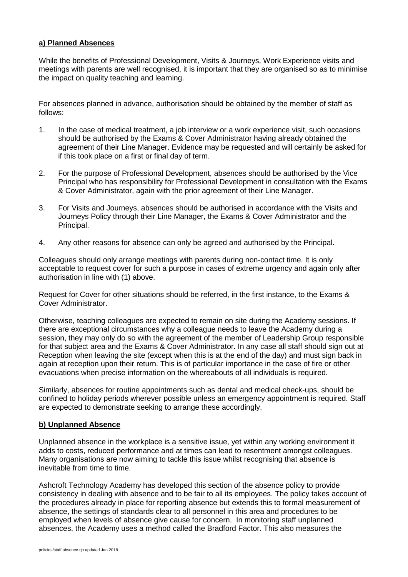#### **a) Planned Absences**

While the benefits of Professional Development, Visits & Journeys, Work Experience visits and meetings with parents are well recognised, it is important that they are organised so as to minimise the impact on quality teaching and learning.

For absences planned in advance, authorisation should be obtained by the member of staff as follows:

- 1. In the case of medical treatment, a job interview or a work experience visit, such occasions should be authorised by the Exams & Cover Administrator having already obtained the agreement of their Line Manager. Evidence may be requested and will certainly be asked for if this took place on a first or final day of term.
- 2. For the purpose of Professional Development, absences should be authorised by the Vice Principal who has responsibility for Professional Development in consultation with the Exams & Cover Administrator, again with the prior agreement of their Line Manager.
- 3. For Visits and Journeys, absences should be authorised in accordance with the Visits and Journeys Policy through their Line Manager, the Exams & Cover Administrator and the Principal.
- 4. Any other reasons for absence can only be agreed and authorised by the Principal.

Colleagues should only arrange meetings with parents during non-contact time. It is only acceptable to request cover for such a purpose in cases of extreme urgency and again only after authorisation in line with (1) above.

Request for Cover for other situations should be referred, in the first instance, to the Exams & Cover Administrator.

Otherwise, teaching colleagues are expected to remain on site during the Academy sessions. If there are exceptional circumstances why a colleague needs to leave the Academy during a session, they may only do so with the agreement of the member of Leadership Group responsible for that subject area and the Exams & Cover Administrator. In any case all staff should sign out at Reception when leaving the site (except when this is at the end of the day) and must sign back in again at reception upon their return. This is of particular importance in the case of fire or other evacuations when precise information on the whereabouts of all individuals is required.

Similarly, absences for routine appointments such as dental and medical check-ups, should be confined to holiday periods wherever possible unless an emergency appointment is required. Staff are expected to demonstrate seeking to arrange these accordingly.

#### **b) Unplanned Absence**

Unplanned absence in the workplace is a sensitive issue, yet within any working environment it adds to costs, reduced performance and at times can lead to resentment amongst colleagues. Many organisations are now aiming to tackle this issue whilst recognising that absence is inevitable from time to time.

Ashcroft Technology Academy has developed this section of the absence policy to provide consistency in dealing with absence and to be fair to all its employees. The policy takes account of the procedures already in place for reporting absence but extends this to formal measurement of absence, the settings of standards clear to all personnel in this area and procedures to be employed when levels of absence give cause for concern. In monitoring staff unplanned absences, the Academy uses a method called the Bradford Factor. This also measures the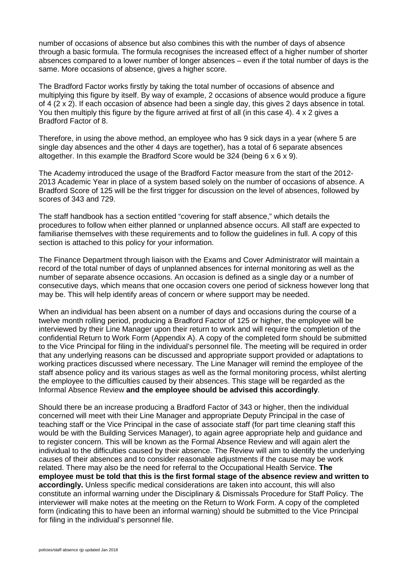number of occasions of absence but also combines this with the number of days of absence through a basic formula. The formula recognises the increased effect of a higher number of shorter absences compared to a lower number of longer absences – even if the total number of days is the same. More occasions of absence, gives a higher score.

The Bradford Factor works firstly by taking the total number of occasions of absence and multiplying this figure by itself. By way of example, 2 occasions of absence would produce a figure of 4 (2 x 2). If each occasion of absence had been a single day, this gives 2 days absence in total. You then multiply this figure by the figure arrived at first of all (in this case 4). 4 x 2 gives a Bradford Factor of 8.

Therefore, in using the above method, an employee who has 9 sick days in a year (where 5 are single day absences and the other 4 days are together), has a total of 6 separate absences altogether. In this example the Bradford Score would be 324 (being 6 x 6 x 9).

The Academy introduced the usage of the Bradford Factor measure from the start of the 2012- 2013 Academic Year in place of a system based solely on the number of occasions of absence. A Bradford Score of 125 will be the first trigger for discussion on the level of absences, followed by scores of 343 and 729.

The staff handbook has a section entitled "covering for staff absence," which details the procedures to follow when either planned or unplanned absence occurs. All staff are expected to familiarise themselves with these requirements and to follow the guidelines in full. A copy of this section is attached to this policy for your information.

The Finance Department through liaison with the Exams and Cover Administrator will maintain a record of the total number of days of unplanned absences for internal monitoring as well as the number of separate absence occasions. An occasion is defined as a single day or a number of consecutive days, which means that one occasion covers one period of sickness however long that may be. This will help identify areas of concern or where support may be needed.

When an individual has been absent on a number of days and occasions during the course of a twelve month rolling period, producing a Bradford Factor of 125 or higher, the employee will be interviewed by their Line Manager upon their return to work and will require the completion of the confidential Return to Work Form (Appendix A). A copy of the completed form should be submitted to the Vice Principal for filing in the individual's personnel file. The meeting will be required in order that any underlying reasons can be discussed and appropriate support provided or adaptations to working practices discussed where necessary. The Line Manager will remind the employee of the staff absence policy and its various stages as well as the formal monitoring process, whilst alerting the employee to the difficulties caused by their absences. This stage will be regarded as the Informal Absence Review **and the employee should be advised this accordingly**.

Should there be an increase producing a Bradford Factor of 343 or higher, then the individual concerned will meet with their Line Manager and appropriate Deputy Principal in the case of teaching staff or the Vice Principal in the case of associate staff (for part time cleaning staff this would be with the Building Services Manager), to again agree appropriate help and guidance and to register concern. This will be known as the Formal Absence Review and will again alert the individual to the difficulties caused by their absence. The Review will aim to identify the underlying causes of their absences and to consider reasonable adjustments if the cause may be work related. There may also be the need for referral to the Occupational Health Service. **The employee must be told that this is the first formal stage of the absence review and written to accordingly.** Unless specific medical considerations are taken into account, this will also constitute an informal warning under the Disciplinary & Dismissals Procedure for Staff Policy. The interviewer will make notes at the meeting on the Return to Work Form. A copy of the completed form (indicating this to have been an informal warning) should be submitted to the Vice Principal for filing in the individual's personnel file.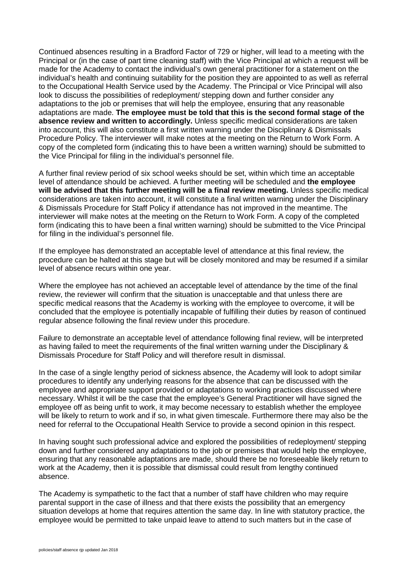Continued absences resulting in a Bradford Factor of 729 or higher, will lead to a meeting with the Principal or (in the case of part time cleaning staff) with the Vice Principal at which a request will be made for the Academy to contact the individual's own general practitioner for a statement on the individual's health and continuing suitability for the position they are appointed to as well as referral to the Occupational Health Service used by the Academy. The Principal or Vice Principal will also look to discuss the possibilities of redeployment/ stepping down and further consider any adaptations to the job or premises that will help the employee, ensuring that any reasonable adaptations are made. **The employee must be told that this is the second formal stage of the absence review and written to accordingly.** Unless specific medical considerations are taken into account, this will also constitute a first written warning under the Disciplinary & Dismissals Procedure Policy. The interviewer will make notes at the meeting on the Return to Work Form. A copy of the completed form (indicating this to have been a written warning) should be submitted to the Vice Principal for filing in the individual's personnel file.

A further final review period of six school weeks should be set, within which time an acceptable level of attendance should be achieved. A further meeting will be scheduled and **the employee will be advised that this further meeting will be a final review meeting.** Unless specific medical considerations are taken into account, it will constitute a final written warning under the Disciplinary & Dismissals Procedure for Staff Policy if attendance has not improved in the meantime. The interviewer will make notes at the meeting on the Return to Work Form. A copy of the completed form (indicating this to have been a final written warning) should be submitted to the Vice Principal for filing in the individual's personnel file.

If the employee has demonstrated an acceptable level of attendance at this final review, the procedure can be halted at this stage but will be closely monitored and may be resumed if a similar level of absence recurs within one year.

Where the employee has not achieved an acceptable level of attendance by the time of the final review, the reviewer will confirm that the situation is unacceptable and that unless there are specific medical reasons that the Academy is working with the employee to overcome, it will be concluded that the employee is potentially incapable of fulfilling their duties by reason of continued regular absence following the final review under this procedure.

Failure to demonstrate an acceptable level of attendance following final review, will be interpreted as having failed to meet the requirements of the final written warning under the Disciplinary & Dismissals Procedure for Staff Policy and will therefore result in dismissal.

In the case of a single lengthy period of sickness absence, the Academy will look to adopt similar procedures to identify any underlying reasons for the absence that can be discussed with the employee and appropriate support provided or adaptations to working practices discussed where necessary. Whilst it will be the case that the employee's General Practitioner will have signed the employee off as being unfit to work, it may become necessary to establish whether the employee will be likely to return to work and if so, in what given timescale. Furthermore there may also be the need for referral to the Occupational Health Service to provide a second opinion in this respect.

In having sought such professional advice and explored the possibilities of redeployment/ stepping down and further considered any adaptations to the job or premises that would help the employee, ensuring that any reasonable adaptations are made, should there be no foreseeable likely return to work at the Academy, then it is possible that dismissal could result from lengthy continued absence.

The Academy is sympathetic to the fact that a number of staff have children who may require parental support in the case of illness and that there exists the possibility that an emergency situation develops at home that requires attention the same day. In line with statutory practice, the employee would be permitted to take unpaid leave to attend to such matters but in the case of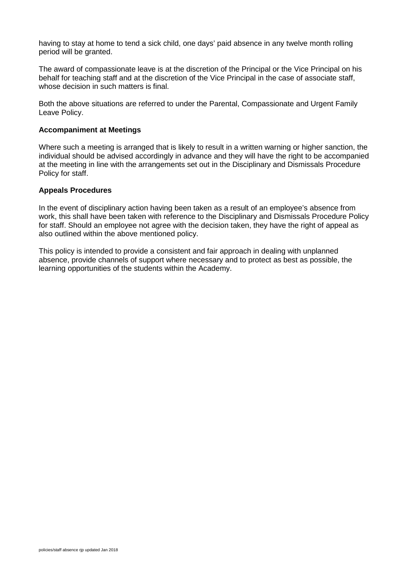having to stay at home to tend a sick child, one days' paid absence in any twelve month rolling period will be granted.

The award of compassionate leave is at the discretion of the Principal or the Vice Principal on his behalf for teaching staff and at the discretion of the Vice Principal in the case of associate staff, whose decision in such matters is final.

Both the above situations are referred to under the Parental, Compassionate and Urgent Family Leave Policy.

#### **Accompaniment at Meetings**

Where such a meeting is arranged that is likely to result in a written warning or higher sanction, the individual should be advised accordingly in advance and they will have the right to be accompanied at the meeting in line with the arrangements set out in the Disciplinary and Dismissals Procedure Policy for staff.

#### **Appeals Procedures**

In the event of disciplinary action having been taken as a result of an employee's absence from work, this shall have been taken with reference to the Disciplinary and Dismissals Procedure Policy for staff. Should an employee not agree with the decision taken, they have the right of appeal as also outlined within the above mentioned policy.

This policy is intended to provide a consistent and fair approach in dealing with unplanned absence, provide channels of support where necessary and to protect as best as possible, the learning opportunities of the students within the Academy.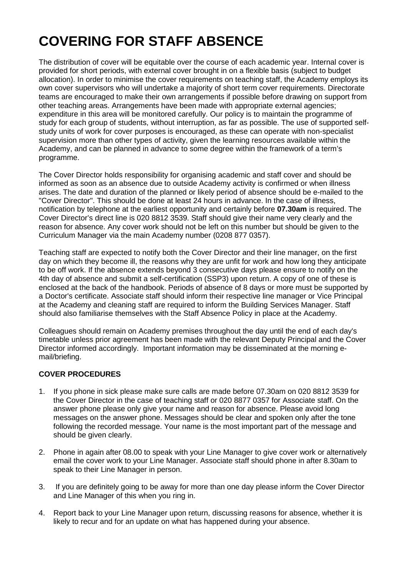## **COVERING FOR STAFF ABSENCE**

The distribution of cover will be equitable over the course of each academic year. Internal cover is provided for short periods, with external cover brought in on a flexible basis (subject to budget allocation). In order to minimise the cover requirements on teaching staff, the Academy employs its own cover supervisors who will undertake a majority of short term cover requirements. Directorate teams are encouraged to make their own arrangements if possible before drawing on support from other teaching areas. Arrangements have been made with appropriate external agencies; expenditure in this area will be monitored carefully. Our policy is to maintain the programme of study for each group of students, without interruption, as far as possible. The use of supported selfstudy units of work for cover purposes is encouraged, as these can operate with non-specialist supervision more than other types of activity, given the learning resources available within the Academy, and can be planned in advance to some degree within the framework of a term's programme.

The Cover Director holds responsibility for organising academic and staff cover and should be informed as soon as an absence due to outside Academy activity is confirmed or when illness arises. The date and duration of the planned or likely period of absence should be e-mailed to the "Cover Director". This should be done at least 24 hours in advance. In the case of illness, notification by telephone at the earliest opportunity and certainly before **07.30am** is required. The Cover Director's direct line is 020 8812 3539. Staff should give their name very clearly and the reason for absence. Any cover work should not be left on this number but should be given to the Curriculum Manager via the main Academy number (0208 877 0357).

Teaching staff are expected to notify both the Cover Director and their line manager, on the first day on which they become ill, the reasons why they are unfit for work and how long they anticipate to be off work. If the absence extends beyond 3 consecutive days please ensure to notify on the 4th day of absence and submit a self-certification (SSP3) upon return. A copy of one of these is enclosed at the back of the handbook. Periods of absence of 8 days or more must be supported by a Doctor's certificate. Associate staff should inform their respective line manager or Vice Principal at the Academy and cleaning staff are required to inform the Building Services Manager. Staff should also familiarise themselves with the Staff Absence Policy in place at the Academy.

Colleagues should remain on Academy premises throughout the day until the end of each day's timetable unless prior agreement has been made with the relevant Deputy Principal and the Cover Director informed accordingly. Important information may be disseminated at the morning email/briefing.

#### **COVER PROCEDURES**

- 1. If you phone in sick please make sure calls are made before 07.30am on 020 8812 3539 for the Cover Director in the case of teaching staff or 020 8877 0357 for Associate staff. On the answer phone please only give your name and reason for absence. Please avoid long messages on the answer phone. Messages should be clear and spoken only after the tone following the recorded message. Your name is the most important part of the message and should be given clearly.
- 2. Phone in again after 08.00 to speak with your Line Manager to give cover work or alternatively email the cover work to your Line Manager. Associate staff should phone in after 8.30am to speak to their Line Manager in person.
- 3. If you are definitely going to be away for more than one day please inform the Cover Director and Line Manager of this when you ring in.
- 4. Report back to your Line Manager upon return, discussing reasons for absence, whether it is likely to recur and for an update on what has happened during your absence.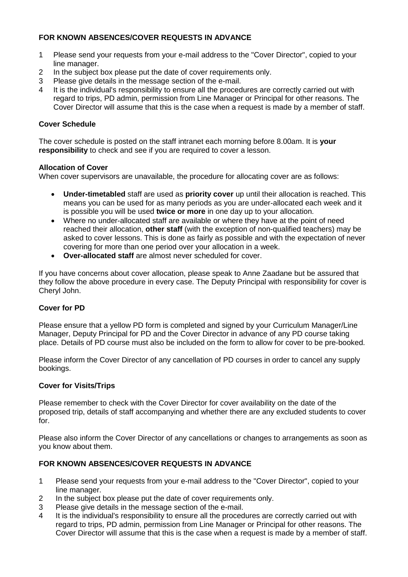#### **FOR KNOWN ABSENCES/COVER REQUESTS IN ADVANCE**

- 1 Please send your requests from your e-mail address to the "Cover Director", copied to your line manager.
- 2 In the subject box please put the date of cover requirements only.
- 3 Please give details in the message section of the e-mail.<br>4 It is the individual's responsibility to ensure all the proced
- It is the individual's responsibility to ensure all the procedures are correctly carried out with regard to trips, PD admin, permission from Line Manager or Principal for other reasons. The Cover Director will assume that this is the case when a request is made by a member of staff.

#### **Cover Schedule**

The cover schedule is posted on the staff intranet each morning before 8.00am. It is **your responsibility** to check and see if you are required to cover a lesson.

#### **Allocation of Cover**

When cover supervisors are unavailable, the procedure for allocating cover are as follows:

- **Under-timetabled** staff are used as **priority cover** up until their allocation is reached. This means you can be used for as many periods as you are under-allocated each week and it is possible you will be used **twice or more** in one day up to your allocation.
- Where no under-allocated staff are available or where they have at the point of need reached their allocation, **other staff** (with the exception of non-qualified teachers) may be asked to cover lessons. This is done as fairly as possible and with the expectation of never covering for more than one period over your allocation in a week.
- **Over-allocated staff** are almost never scheduled for cover.

If you have concerns about cover allocation, please speak to Anne Zaadane but be assured that they follow the above procedure in every case. The Deputy Principal with responsibility for cover is Cheryl John.

#### **Cover for PD**

Please ensure that a yellow PD form is completed and signed by your Curriculum Manager/Line Manager, Deputy Principal for PD and the Cover Director in advance of any PD course taking place. Details of PD course must also be included on the form to allow for cover to be pre-booked.

Please inform the Cover Director of any cancellation of PD courses in order to cancel any supply bookings.

#### **Cover for Visits/Trips**

Please remember to check with the Cover Director for cover availability on the date of the proposed trip, details of staff accompanying and whether there are any excluded students to cover for.

Please also inform the Cover Director of any cancellations or changes to arrangements as soon as you know about them.

#### **FOR KNOWN ABSENCES/COVER REQUESTS IN ADVANCE**

- 1 Please send your requests from your e-mail address to the "Cover Director", copied to your line manager.
- 2 In the subject box please put the date of cover requirements only.<br>3 Please give details in the message section of the e-mail.
- Please give details in the message section of the e-mail.
- 4 It is the individual's responsibility to ensure all the procedures are correctly carried out with regard to trips, PD admin, permission from Line Manager or Principal for other reasons. The Cover Director will assume that this is the case when a request is made by a member of staff.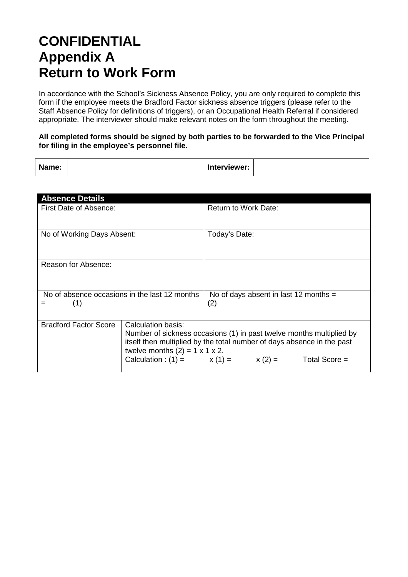### **CONFIDENTIAL Appendix A Return to Work Form**

In accordance with the School's Sickness Absence Policy, you are only required to complete this form if the employee meets the Bradford Factor sickness absence triggers (please refer to the Staff Absence Policy for definitions of triggers), or an Occupational Health Referral if considered appropriate. The interviewer should make relevant notes on the form throughout the meeting.

#### **All completed forms should be signed by both parties to be forwarded to the Vice Principal for filing in the employee's personnel file.**

| Name: | Interviewer: |
|-------|--------------|
|-------|--------------|

| <b>Absence Details</b>                               |                                                                                                                                                                                                                                                                             |                                                |  |  |  |
|------------------------------------------------------|-----------------------------------------------------------------------------------------------------------------------------------------------------------------------------------------------------------------------------------------------------------------------------|------------------------------------------------|--|--|--|
| First Date of Absence:                               |                                                                                                                                                                                                                                                                             | Return to Work Date:                           |  |  |  |
| No of Working Days Absent:                           |                                                                                                                                                                                                                                                                             | Today's Date:                                  |  |  |  |
| Reason for Absence:                                  |                                                                                                                                                                                                                                                                             |                                                |  |  |  |
| No of absence occasions in the last 12 months<br>(1) |                                                                                                                                                                                                                                                                             | No of days absent in last 12 months $=$<br>(2) |  |  |  |
| <b>Bradford Factor Score</b>                         | Calculation basis:<br>Number of sickness occasions (1) in past twelve months multiplied by<br>itself then multiplied by the total number of days absence in the past<br>twelve months $(2) = 1 \times 1 \times 2$ .<br>Calculation : (1) = $x(1) = x(2) =$<br>Total Score = |                                                |  |  |  |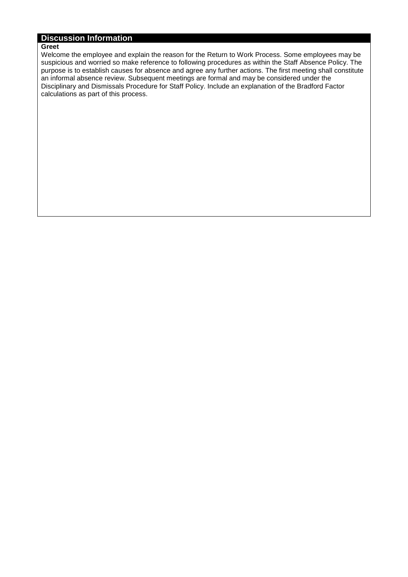#### **Discussion Information**

#### **Greet**

Welcome the employee and explain the reason for the Return to Work Process. Some employees may be suspicious and worried so make reference to following procedures as within the Staff Absence Policy. The purpose is to establish causes for absence and agree any further actions. The first meeting shall constitute an informal absence review. Subsequent meetings are formal and may be considered under the Disciplinary and Dismissals Procedure for Staff Policy. Include an explanation of the Bradford Factor calculations as part of this process.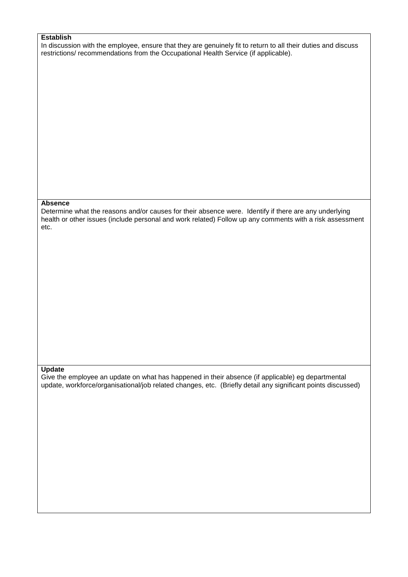#### **Establish**

In discussion with the employee, ensure that they are genuinely fit to return to all their duties and discuss restrictions/ recommendations from the Occupational Health Service (if applicable).

#### **Absence**

Determine what the reasons and/or causes for their absence were. Identify if there are any underlying health or other issues (include personal and work related) Follow up any comments with a risk assessment etc.

#### **Update**

Give the employee an update on what has happened in their absence (if applicable) eg departmental update, workforce/organisational/job related changes, etc. (Briefly detail any significant points discussed)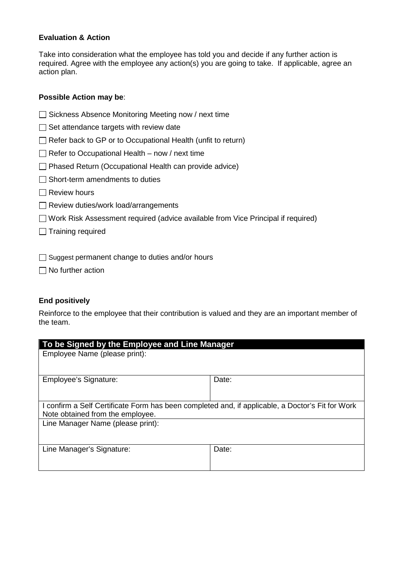#### **Evaluation & Action**

Take into consideration what the employee has told you and decide if any further action is required. Agree with the employee any action(s) you are going to take. If applicable, agree an action plan.

#### **Possible Action may be**:

□ Sickness Absence Monitoring Meeting now / next time

 $\Box$  Set attendance targets with review date

 $\Box$  Refer back to GP or to Occupational Health (unfit to return)

 $\Box$  Refer to Occupational Health – now / next time

 $\Box$  Phased Return (Occupational Health can provide advice)

 $\Box$  Short-term amendments to duties

- $\Box$  Review hours
- Review duties/work load/arrangements

□ Work Risk Assessment required (advice available from Vice Principal if required)

 $\Box$  Training required

 $\Box$  Suggest permanent change to duties and/or hours

 $\Box$  No further action

#### **End positively**

Reinforce to the employee that their contribution is valued and they are an important member of the team.

| To be Signed by the Employee and Line Manager                                                                                        |       |  |  |  |
|--------------------------------------------------------------------------------------------------------------------------------------|-------|--|--|--|
| Employee Name (please print):                                                                                                        |       |  |  |  |
| Employee's Signature:                                                                                                                | Date: |  |  |  |
| I confirm a Self Certificate Form has been completed and, if applicable, a Doctor's Fit for Work<br>Note obtained from the employee. |       |  |  |  |
| Line Manager Name (please print):                                                                                                    |       |  |  |  |
| Line Manager's Signature:                                                                                                            | Date: |  |  |  |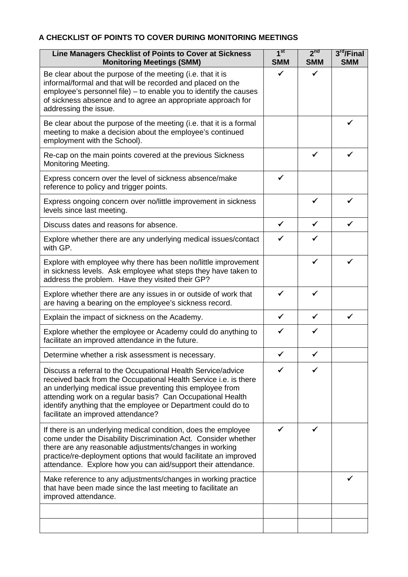#### **A CHECKLIST OF POINTS TO COVER DURING MONITORING MEETINGS**

| Line Managers Checklist of Points to Cover at Sickness<br><b>Monitoring Meetings (SMM)</b>                                                                                                                                                                                                                                                                         | 1 <sup>st</sup><br><b>SMM</b> | 2 <sup>nd</sup><br><b>SMM</b> | 3 <sup>rd</sup> /Final<br><b>SMM</b> |
|--------------------------------------------------------------------------------------------------------------------------------------------------------------------------------------------------------------------------------------------------------------------------------------------------------------------------------------------------------------------|-------------------------------|-------------------------------|--------------------------------------|
| Be clear about the purpose of the meeting (i.e. that it is<br>informal/formal and that will be recorded and placed on the<br>employee's personnel file) - to enable you to identify the causes<br>of sickness absence and to agree an appropriate approach for<br>addressing the issue.                                                                            | ✓                             | $\checkmark$                  |                                      |
| Be clear about the purpose of the meeting (i.e. that it is a formal<br>meeting to make a decision about the employee's continued<br>employment with the School).                                                                                                                                                                                                   |                               |                               | ✔                                    |
| Re-cap on the main points covered at the previous Sickness<br>Monitoring Meeting.                                                                                                                                                                                                                                                                                  |                               | $\checkmark$                  | ✓                                    |
| Express concern over the level of sickness absence/make<br>reference to policy and trigger points.                                                                                                                                                                                                                                                                 | ✓                             |                               |                                      |
| Express ongoing concern over no/little improvement in sickness<br>levels since last meeting.                                                                                                                                                                                                                                                                       |                               | ✓                             |                                      |
| Discuss dates and reasons for absence.                                                                                                                                                                                                                                                                                                                             | $\checkmark$                  | $\checkmark$                  | $\checkmark$                         |
| Explore whether there are any underlying medical issues/contact<br>with GP.                                                                                                                                                                                                                                                                                        | ✓                             | ✓                             |                                      |
| Explore with employee why there has been no/little improvement<br>in sickness levels. Ask employee what steps they have taken to<br>address the problem. Have they visited their GP?                                                                                                                                                                               |                               | $\checkmark$                  | $\checkmark$                         |
| Explore whether there are any issues in or outside of work that<br>are having a bearing on the employee's sickness record.                                                                                                                                                                                                                                         | $\checkmark$                  | $\checkmark$                  |                                      |
| Explain the impact of sickness on the Academy.                                                                                                                                                                                                                                                                                                                     | $\checkmark$                  | $\checkmark$                  |                                      |
| Explore whether the employee or Academy could do anything to<br>facilitate an improved attendance in the future.                                                                                                                                                                                                                                                   | $\checkmark$                  | $\checkmark$                  |                                      |
| Determine whether a risk assessment is necessary.                                                                                                                                                                                                                                                                                                                  | ✓                             | ✓                             |                                      |
| Discuss a referral to the Occupational Health Service/advice<br>received back from the Occupational Health Service i.e. is there<br>an underlying medical issue preventing this employee from<br>attending work on a regular basis? Can Occupational Health<br>identify anything that the employee or Department could do to<br>facilitate an improved attendance? |                               |                               |                                      |
| If there is an underlying medical condition, does the employee<br>come under the Disability Discrimination Act. Consider whether<br>there are any reasonable adjustments/changes in working<br>practice/re-deployment options that would facilitate an improved<br>attendance. Explore how you can aid/support their attendance.                                   | ✓                             |                               |                                      |
| Make reference to any adjustments/changes in working practice<br>that have been made since the last meeting to facilitate an<br>improved attendance.                                                                                                                                                                                                               |                               |                               |                                      |
|                                                                                                                                                                                                                                                                                                                                                                    |                               |                               |                                      |